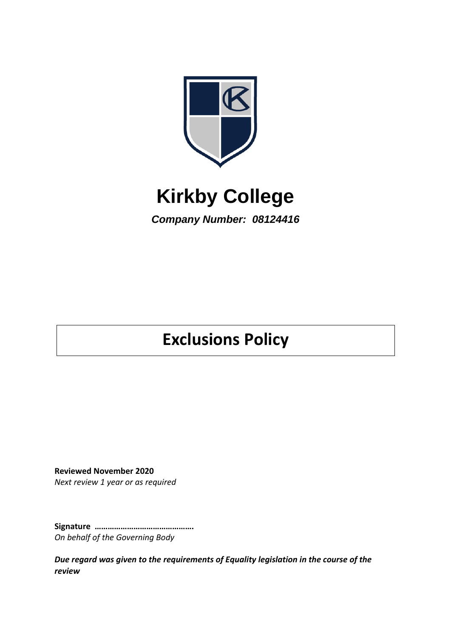

# **Kirkby College**

*Company Number: 08124416*

## **Exclusions Policy**

**Reviewed November 2020** *Next review 1 year or as required*

**Signature ……………………………………….** *On behalf of the Governing Body*

*Due regard was given to the requirements of Equality legislation in the course of the review*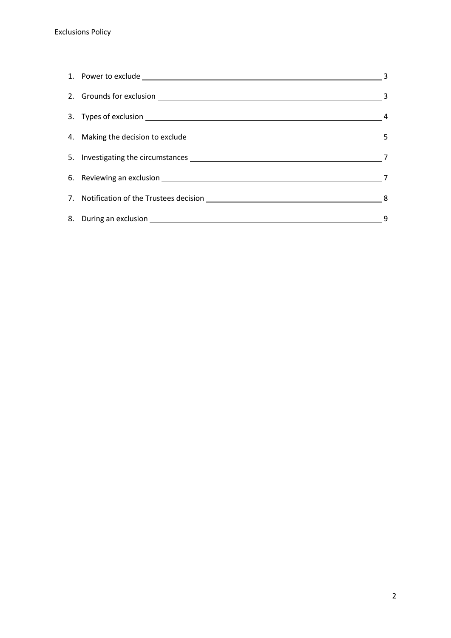|                                                                                                                                                                                                                                | $\overline{\mathbf{3}}$ |
|--------------------------------------------------------------------------------------------------------------------------------------------------------------------------------------------------------------------------------|-------------------------|
| 2. Grounds for exclusion 3                                                                                                                                                                                                     |                         |
|                                                                                                                                                                                                                                |                         |
|                                                                                                                                                                                                                                |                         |
|                                                                                                                                                                                                                                |                         |
| 6. Reviewing an exclusion 17 and 200 million 200 million 200 million 200 million 200 million 200 million 200 million 200 million 200 million 200 million 200 million 200 million 200 million 200 million 200 million 200 milli |                         |
|                                                                                                                                                                                                                                |                         |
|                                                                                                                                                                                                                                | 9                       |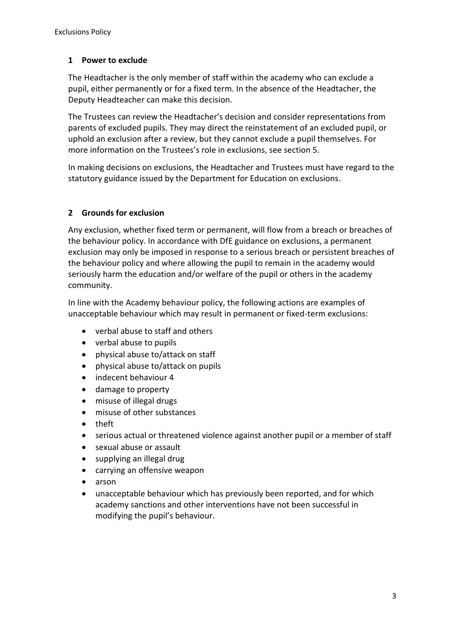## **1 Power to exclude**

The Headtacher is the only member of staff within the academy who can exclude a pupil, either permanently or for a fixed term. In the absence of the Headtacher, the Deputy Headteacher can make this decision.

The Trustees can review the Headtacher's decision and consider representations from parents of excluded pupils. They may direct the reinstatement of an excluded pupil, or uphold an exclusion after a review, but they cannot exclude a pupil themselves. For more information on the Trustees's role in exclusions, see section 5.

In making decisions on exclusions, the Headtacher and Trustees must have regard to the statutory guidance issued by the Department for Education on exclusions.

## **2 Grounds for exclusion**

Any exclusion, whether fixed term or permanent, will flow from a breach or breaches of the behaviour policy. In accordance with DfE guidance on exclusions, a permanent exclusion may only be imposed in response to a serious breach or persistent breaches of the behaviour policy and where allowing the pupil to remain in the academy would seriously harm the education and/or welfare of the pupil or others in the academy community.

In line with the Academy behaviour policy, the following actions are examples of unacceptable behaviour which may result in permanent or fixed-term exclusions:

- verbal abuse to staff and others
- verbal abuse to pupils
- physical abuse to/attack on staff
- physical abuse to/attack on pupils
- indecent behaviour 4
- damage to property
- misuse of illegal drugs
- misuse of other substances
- theft
- serious actual or threatened violence against another pupil or a member of staff
- sexual abuse or assault
- supplying an illegal drug
- carrying an offensive weapon
- arson
- unacceptable behaviour which has previously been reported, and for which academy sanctions and other interventions have not been successful in modifying the pupil's behaviour.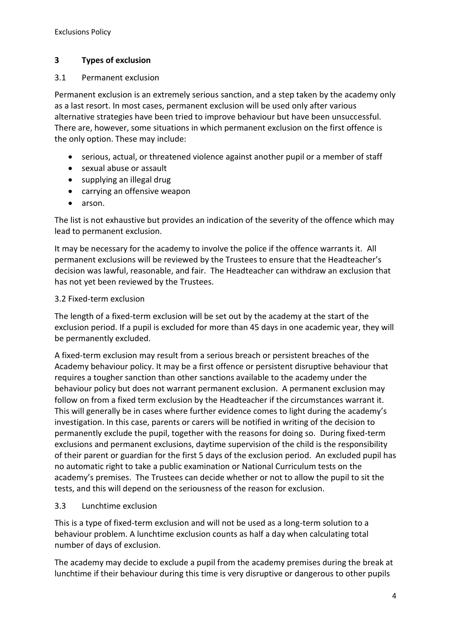## **3 Types of exclusion**

#### 3.1 Permanent exclusion

Permanent exclusion is an extremely serious sanction, and a step taken by the academy only as a last resort. In most cases, permanent exclusion will be used only after various alternative strategies have been tried to improve behaviour but have been unsuccessful. There are, however, some situations in which permanent exclusion on the first offence is the only option. These may include:

- serious, actual, or threatened violence against another pupil or a member of staff
- sexual abuse or assault
- supplying an illegal drug
- carrying an offensive weapon
- arson.

The list is not exhaustive but provides an indication of the severity of the offence which may lead to permanent exclusion.

It may be necessary for the academy to involve the police if the offence warrants it. All permanent exclusions will be reviewed by the Trustees to ensure that the Headteacher's decision was lawful, reasonable, and fair. The Headteacher can withdraw an exclusion that has not yet been reviewed by the Trustees.

#### 3.2 Fixed-term exclusion

The length of a fixed-term exclusion will be set out by the academy at the start of the exclusion period. If a pupil is excluded for more than 45 days in one academic year, they will be permanently excluded.

A fixed-term exclusion may result from a serious breach or persistent breaches of the Academy behaviour policy. It may be a first offence or persistent disruptive behaviour that requires a tougher sanction than other sanctions available to the academy under the behaviour policy but does not warrant permanent exclusion. A permanent exclusion may follow on from a fixed term exclusion by the Headteacher if the circumstances warrant it. This will generally be in cases where further evidence comes to light during the academy's investigation. In this case, parents or carers will be notified in writing of the decision to permanently exclude the pupil, together with the reasons for doing so. During fixed-term exclusions and permanent exclusions, daytime supervision of the child is the responsibility of their parent or guardian for the first 5 days of the exclusion period. An excluded pupil has no automatic right to take a public examination or National Curriculum tests on the academy's premises. The Trustees can decide whether or not to allow the pupil to sit the tests, and this will depend on the seriousness of the reason for exclusion.

## 3.3 Lunchtime exclusion

This is a type of fixed-term exclusion and will not be used as a long-term solution to a behaviour problem. A lunchtime exclusion counts as half a day when calculating total number of days of exclusion.

The academy may decide to exclude a pupil from the academy premises during the break at lunchtime if their behaviour during this time is very disruptive or dangerous to other pupils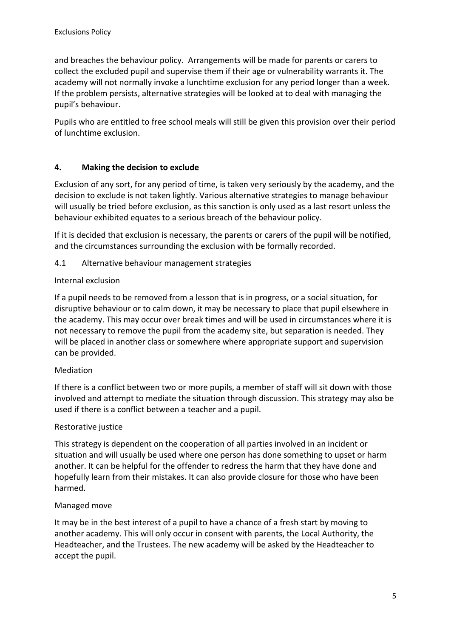and breaches the behaviour policy. Arrangements will be made for parents or carers to collect the excluded pupil and supervise them if their age or vulnerability warrants it. The academy will not normally invoke a lunchtime exclusion for any period longer than a week. If the problem persists, alternative strategies will be looked at to deal with managing the pupil's behaviour.

Pupils who are entitled to free school meals will still be given this provision over their period of lunchtime exclusion.

## **4. Making the decision to exclude**

Exclusion of any sort, for any period of time, is taken very seriously by the academy, and the decision to exclude is not taken lightly. Various alternative strategies to manage behaviour will usually be tried before exclusion, as this sanction is only used as a last resort unless the behaviour exhibited equates to a serious breach of the behaviour policy.

If it is decided that exclusion is necessary, the parents or carers of the pupil will be notified, and the circumstances surrounding the exclusion with be formally recorded.

## 4.1 Alternative behaviour management strategies

## Internal exclusion

If a pupil needs to be removed from a lesson that is in progress, or a social situation, for disruptive behaviour or to calm down, it may be necessary to place that pupil elsewhere in the academy. This may occur over break times and will be used in circumstances where it is not necessary to remove the pupil from the academy site, but separation is needed. They will be placed in another class or somewhere where appropriate support and supervision can be provided.

## Mediation

If there is a conflict between two or more pupils, a member of staff will sit down with those involved and attempt to mediate the situation through discussion. This strategy may also be used if there is a conflict between a teacher and a pupil.

#### Restorative justice

This strategy is dependent on the cooperation of all parties involved in an incident or situation and will usually be used where one person has done something to upset or harm another. It can be helpful for the offender to redress the harm that they have done and hopefully learn from their mistakes. It can also provide closure for those who have been harmed.

#### Managed move

It may be in the best interest of a pupil to have a chance of a fresh start by moving to another academy. This will only occur in consent with parents, the Local Authority, the Headteacher, and the Trustees. The new academy will be asked by the Headteacher to accept the pupil.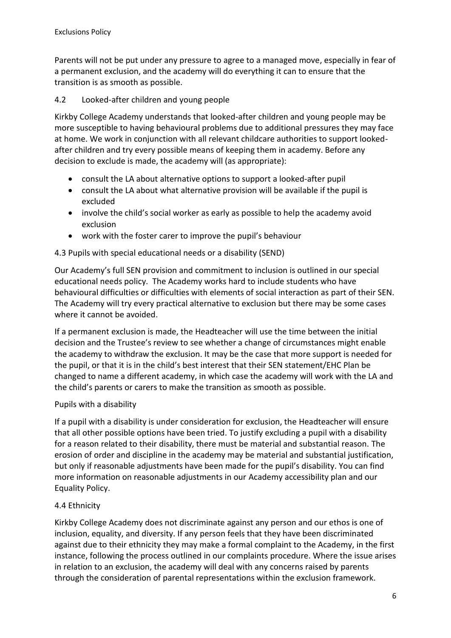Parents will not be put under any pressure to agree to a managed move, especially in fear of a permanent exclusion, and the academy will do everything it can to ensure that the transition is as smooth as possible.

## 4.2 Looked-after children and young people

Kirkby College Academy understands that looked-after children and young people may be more susceptible to having behavioural problems due to additional pressures they may face at home. We work in conjunction with all relevant childcare authorities to support lookedafter children and try every possible means of keeping them in academy. Before any decision to exclude is made, the academy will (as appropriate):

- consult the LA about alternative options to support a looked-after pupil
- consult the LA about what alternative provision will be available if the pupil is excluded
- involve the child's social worker as early as possible to help the academy avoid exclusion
- work with the foster carer to improve the pupil's behaviour

## 4.3 Pupils with special educational needs or a disability (SEND)

Our Academy's full SEN provision and commitment to inclusion is outlined in our special educational needs policy. The Academy works hard to include students who have behavioural difficulties or difficulties with elements of social interaction as part of their SEN. The Academy will try every practical alternative to exclusion but there may be some cases where it cannot be avoided.

If a permanent exclusion is made, the Headteacher will use the time between the initial decision and the Trustee's review to see whether a change of circumstances might enable the academy to withdraw the exclusion. It may be the case that more support is needed for the pupil, or that it is in the child's best interest that their SEN statement/EHC Plan be changed to name a different academy, in which case the academy will work with the LA and the child's parents or carers to make the transition as smooth as possible.

## Pupils with a disability

If a pupil with a disability is under consideration for exclusion, the Headteacher will ensure that all other possible options have been tried. To justify excluding a pupil with a disability for a reason related to their disability, there must be material and substantial reason. The erosion of order and discipline in the academy may be material and substantial justification, but only if reasonable adjustments have been made for the pupil's disability. You can find more information on reasonable adjustments in our Academy accessibility plan and our Equality Policy.

## 4.4 Ethnicity

Kirkby College Academy does not discriminate against any person and our ethos is one of inclusion, equality, and diversity. If any person feels that they have been discriminated against due to their ethnicity they may make a formal complaint to the Academy, in the first instance, following the process outlined in our complaints procedure. Where the issue arises in relation to an exclusion, the academy will deal with any concerns raised by parents through the consideration of parental representations within the exclusion framework.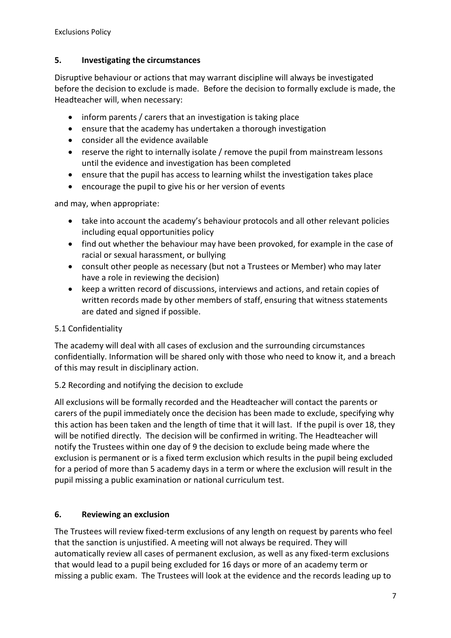## **5. Investigating the circumstances**

Disruptive behaviour or actions that may warrant discipline will always be investigated before the decision to exclude is made. Before the decision to formally exclude is made, the Headteacher will, when necessary:

- inform parents / carers that an investigation is taking place
- ensure that the academy has undertaken a thorough investigation
- consider all the evidence available
- reserve the right to internally isolate / remove the pupil from mainstream lessons until the evidence and investigation has been completed
- ensure that the pupil has access to learning whilst the investigation takes place
- encourage the pupil to give his or her version of events

and may, when appropriate:

- take into account the academy's behaviour protocols and all other relevant policies including equal opportunities policy
- find out whether the behaviour may have been provoked, for example in the case of racial or sexual harassment, or bullying
- consult other people as necessary (but not a Trustees or Member) who may later have a role in reviewing the decision)
- keep a written record of discussions, interviews and actions, and retain copies of written records made by other members of staff, ensuring that witness statements are dated and signed if possible.

## 5.1 Confidentiality

The academy will deal with all cases of exclusion and the surrounding circumstances confidentially. Information will be shared only with those who need to know it, and a breach of this may result in disciplinary action.

## 5.2 Recording and notifying the decision to exclude

All exclusions will be formally recorded and the Headteacher will contact the parents or carers of the pupil immediately once the decision has been made to exclude, specifying why this action has been taken and the length of time that it will last. If the pupil is over 18, they will be notified directly. The decision will be confirmed in writing. The Headteacher will notify the Trustees within one day of 9 the decision to exclude being made where the exclusion is permanent or is a fixed term exclusion which results in the pupil being excluded for a period of more than 5 academy days in a term or where the exclusion will result in the pupil missing a public examination or national curriculum test.

## **6. Reviewing an exclusion**

The Trustees will review fixed-term exclusions of any length on request by parents who feel that the sanction is unjustified. A meeting will not always be required. They will automatically review all cases of permanent exclusion, as well as any fixed-term exclusions that would lead to a pupil being excluded for 16 days or more of an academy term or missing a public exam. The Trustees will look at the evidence and the records leading up to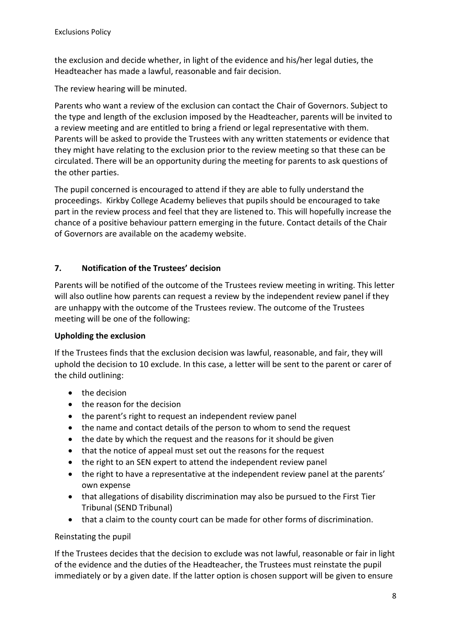the exclusion and decide whether, in light of the evidence and his/her legal duties, the Headteacher has made a lawful, reasonable and fair decision.

The review hearing will be minuted.

Parents who want a review of the exclusion can contact the Chair of Governors. Subject to the type and length of the exclusion imposed by the Headteacher, parents will be invited to a review meeting and are entitled to bring a friend or legal representative with them. Parents will be asked to provide the Trustees with any written statements or evidence that they might have relating to the exclusion prior to the review meeting so that these can be circulated. There will be an opportunity during the meeting for parents to ask questions of the other parties.

The pupil concerned is encouraged to attend if they are able to fully understand the proceedings. Kirkby College Academy believes that pupils should be encouraged to take part in the review process and feel that they are listened to. This will hopefully increase the chance of a positive behaviour pattern emerging in the future. Contact details of the Chair of Governors are available on the academy website.

## **7. Notification of the Trustees' decision**

Parents will be notified of the outcome of the Trustees review meeting in writing. This letter will also outline how parents can request a review by the independent review panel if they are unhappy with the outcome of the Trustees review. The outcome of the Trustees meeting will be one of the following:

## **Upholding the exclusion**

If the Trustees finds that the exclusion decision was lawful, reasonable, and fair, they will uphold the decision to 10 exclude. In this case, a letter will be sent to the parent or carer of the child outlining:

- the decision
- the reason for the decision
- the parent's right to request an independent review panel
- the name and contact details of the person to whom to send the request
- the date by which the request and the reasons for it should be given
- that the notice of appeal must set out the reasons for the request
- the right to an SEN expert to attend the independent review panel
- the right to have a representative at the independent review panel at the parents' own expense
- that allegations of disability discrimination may also be pursued to the First Tier Tribunal (SEND Tribunal)
- that a claim to the county court can be made for other forms of discrimination.

## Reinstating the pupil

If the Trustees decides that the decision to exclude was not lawful, reasonable or fair in light of the evidence and the duties of the Headteacher, the Trustees must reinstate the pupil immediately or by a given date. If the latter option is chosen support will be given to ensure